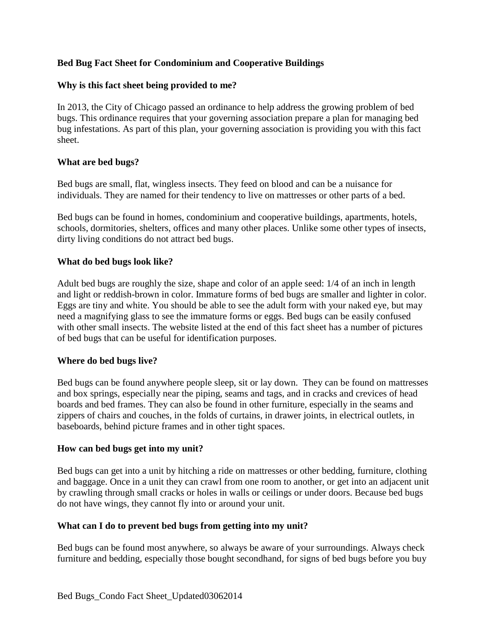# **Bed Bug Fact Sheet for Condominium and Cooperative Buildings**

### **Why is this fact sheet being provided to me?**

In 2013, the City of Chicago passed an ordinance to help address the growing problem of bed bugs. This ordinance requires that your governing association prepare a plan for managing bed bug infestations. As part of this plan, your governing association is providing you with this fact sheet.

### **What are bed bugs?**

Bed bugs are small, flat, wingless insects. They feed on blood and can be a nuisance for individuals. They are named for their tendency to live on mattresses or other parts of a bed.

Bed bugs can be found in homes, condominium and cooperative buildings, apartments, hotels, schools, dormitories, shelters, offices and many other places. Unlike some other types of insects, dirty living conditions do not attract bed bugs.

### **What do bed bugs look like?**

Adult bed bugs are roughly the size, shape and color of an apple seed: 1/4 of an inch in length and light or reddish-brown in color. Immature forms of bed bugs are smaller and lighter in color. Eggs are tiny and white. You should be able to see the adult form with your naked eye, but may need a magnifying glass to see the immature forms or eggs. Bed bugs can be easily confused with other small insects. The website listed at the end of this fact sheet has a number of pictures of bed bugs that can be useful for identification purposes.

# **Where do bed bugs live?**

Bed bugs can be found anywhere people sleep, sit or lay down. They can be found on mattresses and box springs, especially near the piping, seams and tags, and in cracks and crevices of head boards and bed frames. They can also be found in other furniture, especially in the seams and zippers of chairs and couches, in the folds of curtains, in drawer joints, in electrical outlets, in baseboards, behind picture frames and in other tight spaces.

#### **How can bed bugs get into my unit?**

Bed bugs can get into a unit by hitching a ride on mattresses or other bedding, furniture, clothing and baggage. Once in a unit they can crawl from one room to another, or get into an adjacent unit by crawling through small cracks or holes in walls or ceilings or under doors. Because bed bugs do not have wings, they cannot fly into or around your unit.

#### **What can I do to prevent bed bugs from getting into my unit?**

Bed bugs can be found most anywhere, so always be aware of your surroundings. Always check furniture and bedding, especially those bought secondhand, for signs of bed bugs before you buy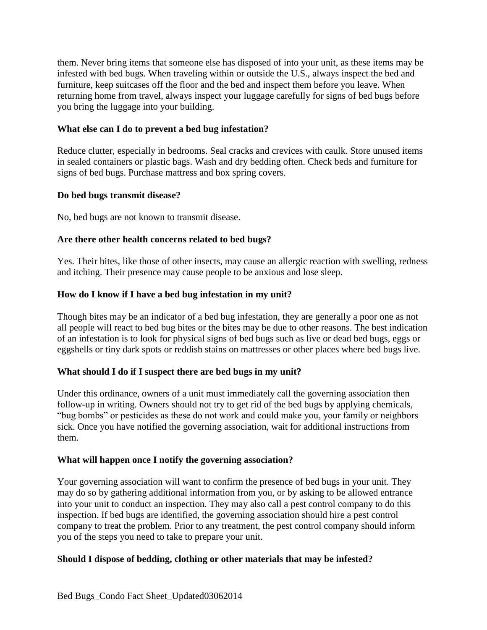them. Never bring items that someone else has disposed of into your unit, as these items may be infested with bed bugs. When traveling within or outside the U.S., always inspect the bed and furniture, keep suitcases off the floor and the bed and inspect them before you leave. When returning home from travel, always inspect your luggage carefully for signs of bed bugs before you bring the luggage into your building.

## **What else can I do to prevent a bed bug infestation?**

Reduce clutter, especially in bedrooms. Seal cracks and crevices with caulk. Store unused items in sealed containers or plastic bags. Wash and dry bedding often. Check beds and furniture for signs of bed bugs. Purchase mattress and box spring covers.

### **Do bed bugs transmit disease?**

No, bed bugs are not known to transmit disease.

### **Are there other health concerns related to bed bugs?**

Yes. Their bites, like those of other insects, may cause an allergic reaction with swelling, redness and itching. Their presence may cause people to be anxious and lose sleep.

### **How do I know if I have a bed bug infestation in my unit?**

Though bites may be an indicator of a bed bug infestation, they are generally a poor one as not all people will react to bed bug bites or the bites may be due to other reasons. The best indication of an infestation is to look for physical signs of bed bugs such as live or dead bed bugs, eggs or eggshells or tiny dark spots or reddish stains on mattresses or other places where bed bugs live.

#### **What should I do if I suspect there are bed bugs in my unit?**

Under this ordinance, owners of a unit must immediately call the governing association then follow-up in writing. Owners should not try to get rid of the bed bugs by applying chemicals, "bug bombs" or pesticides as these do not work and could make you, your family or neighbors sick. Once you have notified the governing association, wait for additional instructions from them.

#### **What will happen once I notify the governing association?**

Your governing association will want to confirm the presence of bed bugs in your unit. They may do so by gathering additional information from you, or by asking to be allowed entrance into your unit to conduct an inspection. They may also call a pest control company to do this inspection. If bed bugs are identified, the governing association should hire a pest control company to treat the problem. Prior to any treatment, the pest control company should inform you of the steps you need to take to prepare your unit.

#### **Should I dispose of bedding, clothing or other materials that may be infested?**